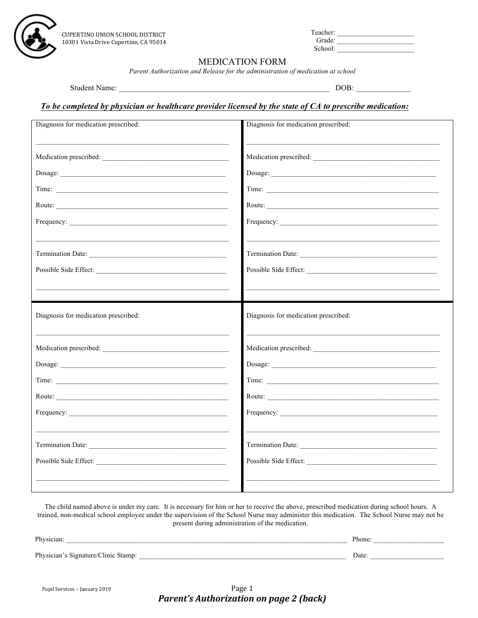

| Teacher: |  |
|----------|--|
| Grade:   |  |
| School:  |  |

### MEDICATION FORM

*Parent Authorization and Release for the administration of medication at school*

Student Name: \_\_\_\_\_\_\_\_\_\_\_\_\_\_\_\_\_\_\_\_\_\_\_\_\_\_\_\_\_\_\_\_\_\_\_\_\_\_\_\_\_\_\_\_\_\_\_\_\_\_\_\_\_\_ DOB: \_\_\_\_\_\_\_\_\_\_\_\_\_\_

## *To be completed by physician or healthcare provider licensed by the state of CA to prescribe medication:*

| Diagnosis for medication prescribed:                                                                                                                                                                                                                                                                                                                                                                          | Diagnosis for medication prescribed:                                                                                                                                                                                                                                                                                                                                                                          |
|---------------------------------------------------------------------------------------------------------------------------------------------------------------------------------------------------------------------------------------------------------------------------------------------------------------------------------------------------------------------------------------------------------------|---------------------------------------------------------------------------------------------------------------------------------------------------------------------------------------------------------------------------------------------------------------------------------------------------------------------------------------------------------------------------------------------------------------|
|                                                                                                                                                                                                                                                                                                                                                                                                               |                                                                                                                                                                                                                                                                                                                                                                                                               |
|                                                                                                                                                                                                                                                                                                                                                                                                               |                                                                                                                                                                                                                                                                                                                                                                                                               |
| Time: $\frac{1}{\sqrt{1-\frac{1}{2}}\sqrt{1-\frac{1}{2}}\sqrt{1-\frac{1}{2}}\sqrt{1-\frac{1}{2}}\sqrt{1-\frac{1}{2}}\sqrt{1-\frac{1}{2}}\sqrt{1-\frac{1}{2}}\sqrt{1-\frac{1}{2}}\sqrt{1-\frac{1}{2}}\sqrt{1-\frac{1}{2}}\sqrt{1-\frac{1}{2}}\sqrt{1-\frac{1}{2}}\sqrt{1-\frac{1}{2}}\sqrt{1-\frac{1}{2}}\sqrt{1-\frac{1}{2}}\sqrt{1-\frac{1}{2}}\sqrt{1-\frac{1}{2}}\sqrt{1-\frac{1}{2}}\sqrt{1-\frac{1}{2}}$ | Time: $\frac{1}{\sqrt{1-\frac{1}{2}}\sqrt{1-\frac{1}{2}}\sqrt{1-\frac{1}{2}}\sqrt{1-\frac{1}{2}}\sqrt{1-\frac{1}{2}}\sqrt{1-\frac{1}{2}}\sqrt{1-\frac{1}{2}}\sqrt{1-\frac{1}{2}}\sqrt{1-\frac{1}{2}}\sqrt{1-\frac{1}{2}}\sqrt{1-\frac{1}{2}}\sqrt{1-\frac{1}{2}}\sqrt{1-\frac{1}{2}}\sqrt{1-\frac{1}{2}}\sqrt{1-\frac{1}{2}}\sqrt{1-\frac{1}{2}}\sqrt{1-\frac{1}{2}}\sqrt{1-\frac{1}{2}}\sqrt{1-\frac{1}{2}}$ |
|                                                                                                                                                                                                                                                                                                                                                                                                               | Route:                                                                                                                                                                                                                                                                                                                                                                                                        |
|                                                                                                                                                                                                                                                                                                                                                                                                               |                                                                                                                                                                                                                                                                                                                                                                                                               |
| Termination Date:                                                                                                                                                                                                                                                                                                                                                                                             | Termination Date:                                                                                                                                                                                                                                                                                                                                                                                             |
|                                                                                                                                                                                                                                                                                                                                                                                                               |                                                                                                                                                                                                                                                                                                                                                                                                               |
|                                                                                                                                                                                                                                                                                                                                                                                                               |                                                                                                                                                                                                                                                                                                                                                                                                               |
|                                                                                                                                                                                                                                                                                                                                                                                                               |                                                                                                                                                                                                                                                                                                                                                                                                               |
| Diagnosis for medication prescribed:                                                                                                                                                                                                                                                                                                                                                                          | Diagnosis for medication prescribed:                                                                                                                                                                                                                                                                                                                                                                          |
|                                                                                                                                                                                                                                                                                                                                                                                                               |                                                                                                                                                                                                                                                                                                                                                                                                               |
|                                                                                                                                                                                                                                                                                                                                                                                                               |                                                                                                                                                                                                                                                                                                                                                                                                               |
|                                                                                                                                                                                                                                                                                                                                                                                                               |                                                                                                                                                                                                                                                                                                                                                                                                               |
|                                                                                                                                                                                                                                                                                                                                                                                                               | Route:                                                                                                                                                                                                                                                                                                                                                                                                        |
|                                                                                                                                                                                                                                                                                                                                                                                                               |                                                                                                                                                                                                                                                                                                                                                                                                               |
|                                                                                                                                                                                                                                                                                                                                                                                                               | <u> 1989 - Johann Stein, mars an de Frans and de Frans and de Frans and de Frans and de Frans and de Frans and de</u>                                                                                                                                                                                                                                                                                         |
| Termination Date:                                                                                                                                                                                                                                                                                                                                                                                             |                                                                                                                                                                                                                                                                                                                                                                                                               |
|                                                                                                                                                                                                                                                                                                                                                                                                               |                                                                                                                                                                                                                                                                                                                                                                                                               |
|                                                                                                                                                                                                                                                                                                                                                                                                               |                                                                                                                                                                                                                                                                                                                                                                                                               |

The child named above is under my care. It is necessary for him or her to receive the above, prescribed medication during school hours. A trained, non-medical school employee under the supervision of the School Nurse may administer this medication. The School Nurse may not be present during administration of the medication.

| Physician:                          | Phone |
|-------------------------------------|-------|
| Physician's Signature/Clinic Stamp: | Date: |

Pupil Services – January 2019 **Page 1 Parent's Authorization on page 2 (back)**